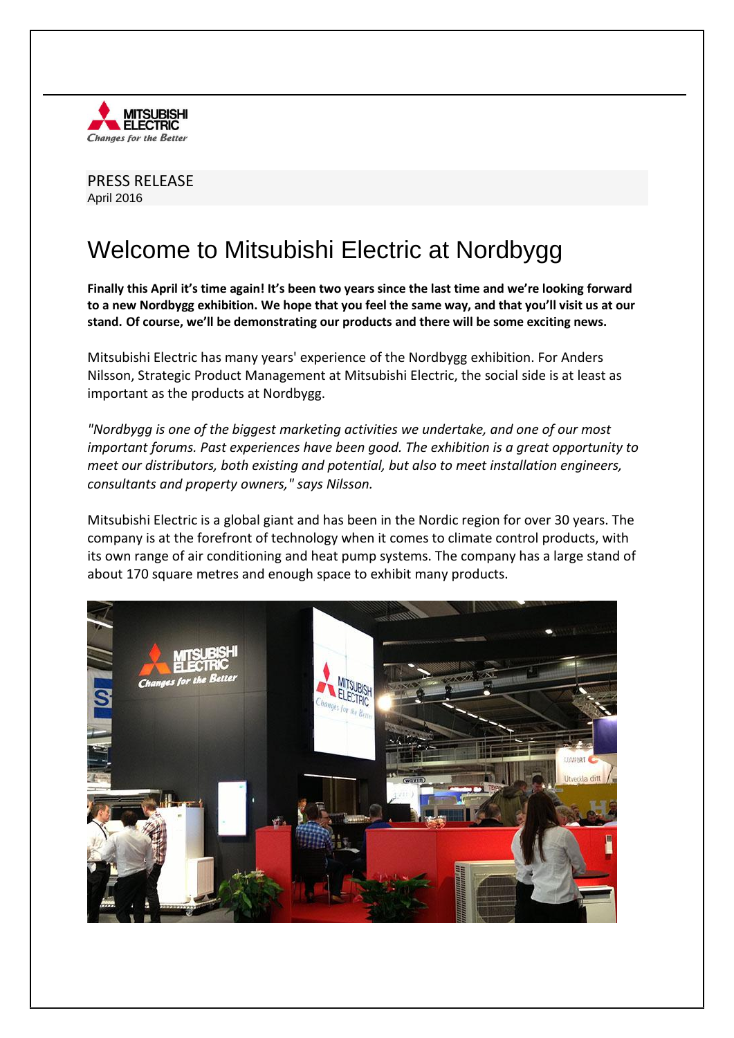

PRESS RELEASE April 2016

## Welcome to Mitsubishi Electric at Nordbygg

**Finally this April it's time again! It's been two years since the last time and we're looking forward to a new Nordbygg exhibition. We hope that you feel the same way, and that you'll visit us at our stand. Of course, we'll be demonstrating our products and there will be some exciting news.** 

Mitsubishi Electric has many years' experience of the Nordbygg exhibition. For Anders Nilsson, Strategic Product Management at Mitsubishi Electric, the social side is at least as important as the products at Nordbygg.

*"Nordbygg is one of the biggest marketing activities we undertake, and one of our most important forums. Past experiences have been good. The exhibition is a great opportunity to meet our distributors, both existing and potential, but also to meet installation engineers, consultants and property owners," says Nilsson.*

Mitsubishi Electric is a global giant and has been in the Nordic region for over 30 years. The company is at the forefront of technology when it comes to climate control products, with its own range of air conditioning and heat pump systems. The company has a large stand of about 170 square metres and enough space to exhibit many products.